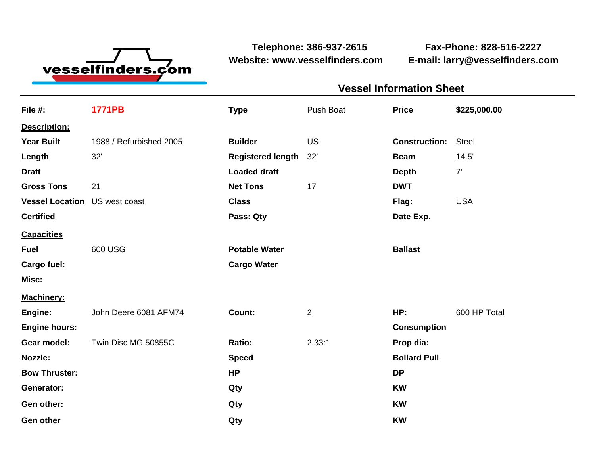

**Website: www.vesselfinders.com E-mail: larry@vesselfinders.com**

**Telephone: 386-937-2615 Fax-Phone: 828-516-2227**

| Push Boat <b>Price</b> \$225,000.00<br><b>Construction: Steel</b><br><b>Beam</b> 14.5'<br>Flag: USA |
|-----------------------------------------------------------------------------------------------------|
|                                                                                                     |
|                                                                                                     |
|                                                                                                     |
|                                                                                                     |
|                                                                                                     |
|                                                                                                     |
|                                                                                                     |
|                                                                                                     |
|                                                                                                     |
|                                                                                                     |
|                                                                                                     |
|                                                                                                     |
|                                                                                                     |
|                                                                                                     |
|                                                                                                     |
|                                                                                                     |
|                                                                                                     |
|                                                                                                     |